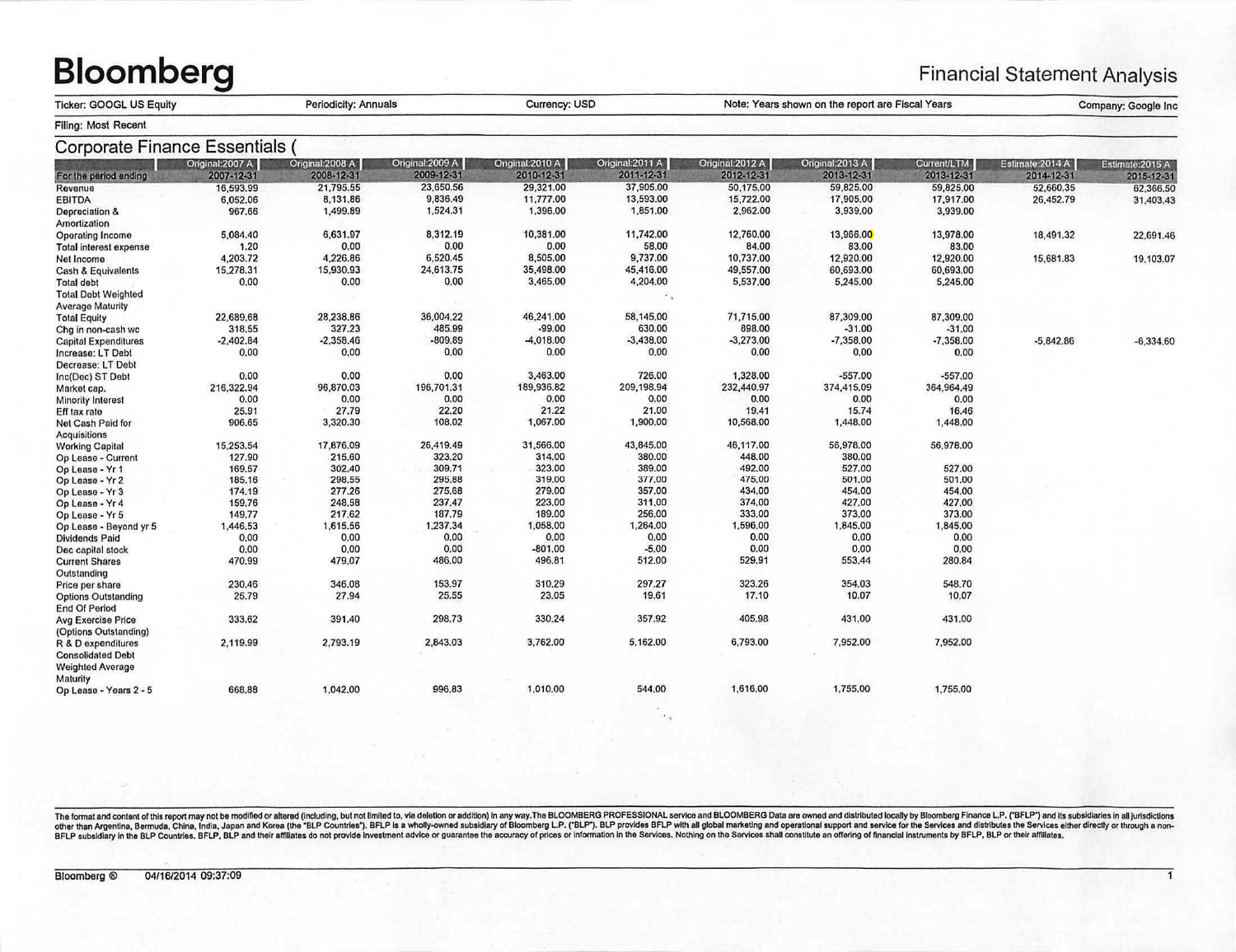## **Bloomberg**

## **Financial Statement Analysis**

Company: Google Inc

Note: Years shown on the report are Fiscal Years

|                     | <b>Ticker: GOOGL US Equity</b> |
|---------------------|--------------------------------|
| Filing: Most Recent |                                |

**Periodicity: Annuals** 

| Corporate Finance Essentials  |                  |                  |                  |                 |                  |                  |                  |             |                  |                  |
|-------------------------------|------------------|------------------|------------------|-----------------|------------------|------------------|------------------|-------------|------------------|------------------|
|                               | Original: 2007 A | Original: 2008 A | Original: 2009 A | Onginal: 2010 A | Original: 2011 A | Original: 2012 A | Original: 2013 A | Current/LTM | Estimate: 2014 A | Estimate: 2015 A |
| For the period ending         | 2007-12-31       | 2008-12-31       | 2009-12-31       | 2010-12-31      | 2011-12-31       | 2012-12-31       | 2013-12-31       | 2013-12-31  | 2014-12-31       | 2015-12-31       |
| Revenue                       | 16,593.99        | 21,795.55        | 23,650.56        | 29,321.00       | 37,905.00        | 50,175.00        | 59,825.00        | 59,825.00   | 52,660.35        | 62,366.50        |
| <b>EBITDA</b>                 | 6,052.06         | 8,131.86         | 9,836.49         | 11,777.00       | 13,593.00        | 15,722.00        | 17,905.00        | 17,917.00   | 26,452.79        | 31,403.43        |
| Depreciation &                | 967.66           | 1,499.89         | 1,524.31         | 1,396,00        | 1,851.00         | 2,962.00         | 3,939.00         | 3,939.00    |                  |                  |
| Amortization                  |                  |                  |                  |                 |                  |                  |                  |             |                  |                  |
| <b>Operating Income</b>       | 5,084.40         | 6,631.97         | 8,312.19         | 10,381.00       | 11,742.00        | 12,760.00        | 13,966.00        | 13,978.00   | 18,491.32        | 22,691.46        |
| <b>Total interest expense</b> | 1.20             | 0.00             | 0.00             | 0.00            | 58.00            | 84.00            | 83.00            | 83.00       |                  |                  |
| Net Income                    | 4,203.72         | 4,226.86         | 6,520.45         | 8,505.00        | 9,737.00         | 10,737.00        | 12,920.00        | 12,920.00   | 15,681.83        | 19,103.07        |
| <b>Cash &amp; Equivalents</b> | 15,278.31        | 15,930.93        | 24,613.75        | 35,498.00       | 45,416.00        | 49,557.00        | 60,693.00        | 60,693.00   |                  |                  |
| <b>Total debt</b>             | 0.00             | 0.00             | 0.00             | 3,465,00        | 4,204.00         | 5,537.00         | 5,245.00         | 5,245.00    |                  |                  |
| <b>Total Debt Weighted</b>    |                  |                  |                  |                 |                  |                  |                  |             |                  |                  |
| <b>Average Maturity</b>       |                  |                  |                  |                 |                  |                  |                  |             |                  |                  |
|                               | 22,689.68        | 28,238.86        | 36,004.22        | 46,241.00       | 58,145.00        | 71,715.00        | 87,309.00        | 87,309.00   |                  |                  |
| <b>Total Equity</b>           | 318.55           | 327.23           | 485.99           | $-99.00$        | 630.00           | 898.00           | $-31.00$         | $-31.00$    |                  |                  |
| Chg in non-cash wc            |                  |                  | $-809.89$        | $-4,018,00$     | $-3,438,00$      | $-3,273,00$      | $-7,358,00$      |             |                  |                  |
| <b>Capital Expenditures</b>   | $-2,402.84$      | $-2,358.46$      |                  |                 |                  |                  |                  | $-7,358,00$ | $-5,842.86$      | $-6,334,60$      |
| Increase: LT Debt             | 0.00             | 0.00             | 0.00             | 0.00            | 0.00             | 0.00             | 0.00             | 0.00        |                  |                  |
| Decrease: LT Debt             |                  |                  |                  |                 |                  |                  |                  |             |                  |                  |
| Inc(Dec) ST Debt              | 0.00             | 0.00             | 0.00             | 3,463.00        | 726.00           | 1,328.00         | $-557.00$        | $-557.00$   |                  |                  |
| Market cap.                   | 216,322.94       | 96,870.03        | 196,701.31       | 189,936.82      | 209,198.94       | 232,440.97       | 374,415.09       | 364,964.49  |                  |                  |
| <b>Minority Interest</b>      | 0.00             | 0.00             | 0.00             | 0.00            | 0.00             | 0.00             | 0.00             | 0.00        |                  |                  |
| Eff tax rate                  | 25.91            | 27.79            | 22.20            | 21.22           | 21.00            | 19.41            | 15.74            | 16.46       |                  |                  |
| Net Cash Paid for             | 906.65           | 3,320.30         | 108.02           | 1,067.00        | 1,900.00         | 10,568.00        | 1,448.00         | 1,448.00    |                  |                  |
| Acquisitions                  |                  |                  |                  |                 |                  |                  |                  |             |                  |                  |
| <b>Working Capital</b>        | 15,253.54        | 17,876.09        | 26,419.49        | 31,566,00       | 43,845.00        | 46,117.00        | 56,978.00        | 56,978.00   |                  |                  |
| Op Lease - Current            | 127.90           | 215.60           | 323.20           | 314.00          | 380.00           | 448.00           | 380.00           |             |                  |                  |
| Op Lease - Yr 1               | 169.57           | 302.40           | 309.71           | 323.00          | 389.00           | 492.00           | 527.00           | 527.00      |                  |                  |
| Op Lease - Yr 2               | 185,16           | 298.55           | 295.88           | 319,00          | 377.00           | 475.00           | 501.00           | 501.00      |                  |                  |
| Op Lease - Yr 3               | 174.19           | 277.26           | 275.68           | 279.00          | 357.00           | 434.00           | 454.00           | 454.00      |                  |                  |
| Op Lease - Yr 4               | 159.76           | 248,58           | 237.47           | 223.00          | 311.00           | 374.00           | 427.00           | 427.00      |                  |                  |
| Op Lease - Yr 5               | 149,77           | 217.62           | 187.79           | 189,00          | 256,00           | 333.00           | 373.00           | 373.00      |                  |                  |
| Op Lease - Beyond yr 5        | 1,446.53         | 1,615.56         | 1,237.34         | 1,058.00        | 1,264.00         | 1,596.00         | 1,845.00         | 1,845.00    |                  |                  |
| Dividends Paid                | 0.00             | 0.00             | 0.00             | 0.00            | 0.00             | 0.00             | 0.00             | 0.00        |                  |                  |
| Dec capital stock             | 0.00             | 0.00             | 0.00             | $-801,00$       | $-5.00$          | 0.00             | 0.00             | 0.00        |                  |                  |
| <b>Current Shares</b>         | 470.99           | 479.07           | 486.00           | 496.81          | 512.00           | 529.91           | 553.44           | 280.84      |                  |                  |
| Outstanding                   |                  |                  |                  |                 |                  |                  |                  |             |                  |                  |
| Price per share               | 230.46           | 346.08           | 153.97           | 310.29          | 297.27           | 323.26           | 354.03           | 548.70      |                  |                  |
| <b>Options Outstanding</b>    | 25.79            | 27.94            | 25.55            | 23.05           | 19.61            | 17.10            | 10.07            | 10.07       |                  |                  |
| <b>End Of Period</b>          |                  |                  |                  |                 |                  |                  |                  |             |                  |                  |
| <b>Avg Exercise Price</b>     | 333.62           | 391.40           | 298.73           | 330.24          | 357.92           | 405.98           | 431.00           | 431.00      |                  |                  |
| (Options Outstanding)         |                  |                  |                  |                 |                  |                  |                  |             |                  |                  |
| R & D expenditures            | 2,119.99         | 2,793.19         | 2,843.03         | 3,762.00        | 5,162.00         | 6,793.00         | 7,952.00         | 7,952.00    |                  |                  |
| <b>Consolidated Debt</b>      |                  |                  |                  |                 |                  |                  |                  |             |                  |                  |
| <b>Weighted Average</b>       |                  |                  |                  |                 |                  |                  |                  |             |                  |                  |
| Maturity                      |                  |                  |                  |                 |                  |                  |                  |             |                  |                  |
| Op Lease - Years 2 - 5        | 668.88           | 1,042.00         | 996.83           | 1,010.00        | 544.00           | 1,616.00         | 1,755.00         | 1,755.00    |                  |                  |
|                               |                  |                  |                  |                 |                  |                  |                  |             |                  |                  |
|                               |                  |                  |                  |                 |                  |                  |                  |             |                  |                  |

Currency: USD

The format and content of this report may not be modified or alterod (including, but not limited to, via deletion or addition) in any way. The BLOOMBERG PROFESSIONAL service and BLOOMBERG Data are owned and distributed loc